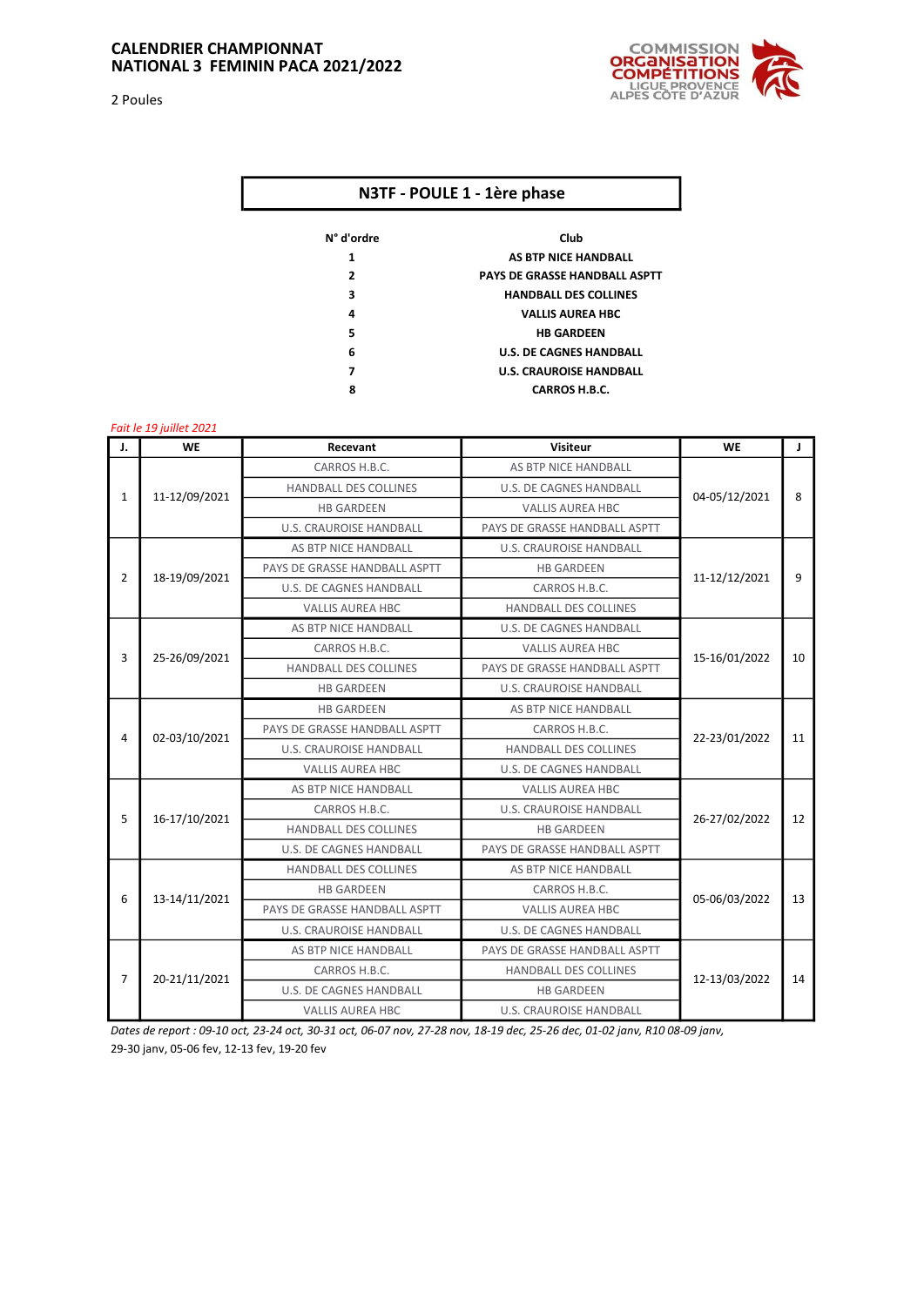2 Poules



## N3TF - POULE 1 - 1ère phase

| N° d'ordre | Club                                 |
|------------|--------------------------------------|
| 1          | AS BTP NICE HANDBALL                 |
| 2          | <b>PAYS DE GRASSE HANDBALL ASPTT</b> |
| 3          | <b>HANDBALL DES COLLINES</b>         |
| 4          | <b>VALLIS AUREA HBC</b>              |
| 5          | <b>HB GARDFFN</b>                    |
| 6          | <b>U.S. DE CAGNES HANDBALL</b>       |
| 7          | <b>U.S. CRAUROISE HANDBALL</b>       |
| 8          | <b>CARROS H.B.C.</b>                 |

## Fait le 19 juillet 2021

| J.             | <b>WE</b>     | Recevant                       | <b>Visiteur</b>                | <b>WE</b>     | J            |
|----------------|---------------|--------------------------------|--------------------------------|---------------|--------------|
| $\mathbf{1}$   |               | CARROS H.B.C.                  | AS BTP NICE HANDBALL           | 04-05/12/2021 | $\mathbf{g}$ |
|                |               | <b>HANDBALL DES COLLINES</b>   | <b>U.S. DE CAGNES HANDBALL</b> |               |              |
|                | 11-12/09/2021 | <b>HB GARDEEN</b>              | <b>VALLIS AUREA HBC</b>        |               |              |
|                |               | <b>U.S. CRAUROISE HANDBALL</b> | PAYS DE GRASSE HANDBALL ASPTT  |               |              |
| 2              | 18-19/09/2021 | AS BTP NICE HANDBALL           | <b>U.S. CRAUROISE HANDBALL</b> | 11-12/12/2021 | 9            |
|                |               | PAYS DE GRASSE HANDBALL ASPTT  | <b>HB GARDEEN</b>              |               |              |
|                |               | <b>U.S. DE CAGNES HANDBALL</b> | CARROS H.B.C.                  |               |              |
|                |               | <b>VALLIS AUREA HBC</b>        | <b>HANDBALL DES COLLINES</b>   |               |              |
| 3              | 25-26/09/2021 | AS BTP NICE HANDBALL           | <b>U.S. DE CAGNES HANDBALL</b> |               | 10           |
|                |               | CARROS H.B.C.                  | <b>VALLIS AUREA HBC</b>        |               |              |
|                |               | <b>HANDBALL DES COLLINES</b>   | PAYS DE GRASSE HANDBALL ASPTT  | 15-16/01/2022 |              |
|                |               | <b>HB GARDEEN</b>              | <b>U.S. CRAUROISE HANDBALL</b> |               |              |
|                | 02-03/10/2021 | <b>HB GARDEEN</b>              | AS BTP NICE HANDBALL           | 22-23/01/2022 | 11           |
|                |               | PAYS DE GRASSE HANDBALL ASPTT  | CARROS H.B.C.                  |               |              |
| 4              |               | <b>U.S. CRAUROISE HANDBALL</b> | <b>HANDBALL DES COLLINES</b>   |               |              |
|                |               | <b>VALLIS AUREA HBC</b>        | <b>U.S. DE CAGNES HANDBALL</b> |               |              |
|                | 16-17/10/2021 | AS BTP NICE HANDBALL           | <b>VALLIS AUREA HBC</b>        | 26-27/02/2022 |              |
| 5              |               | CARROS H.B.C.                  | <b>U.S. CRAUROISE HANDBALL</b> |               | 12           |
|                |               | <b>HANDBALL DES COLLINES</b>   | <b>HB GARDEEN</b>              |               |              |
|                |               | <b>U.S. DE CAGNES HANDBALL</b> | PAYS DE GRASSE HANDBALL ASPTT  |               |              |
| 6              | 13-14/11/2021 | HANDBALL DES COLLINES          | AS BTP NICE HANDBALL           | 05-06/03/2022 | 13           |
|                |               | <b>HB GARDEEN</b>              | CARROS H.B.C.                  |               |              |
|                |               | PAYS DE GRASSE HANDBALL ASPTT  | <b>VALLIS AUREA HBC</b>        |               |              |
|                |               | <b>U.S. CRAUROISE HANDBALL</b> | <b>U.S. DE CAGNES HANDBALL</b> |               |              |
| $\overline{7}$ | 20-21/11/2021 | AS BTP NICE HANDBALL           | PAYS DE GRASSE HANDBALL ASPTT  | 12-13/03/2022 |              |
|                |               | CARROS H.B.C.                  | <b>HANDBALL DES COLLINES</b>   |               | 14           |
|                |               | <b>U.S. DE CAGNES HANDBALL</b> | <b>HB GARDEEN</b>              |               |              |
|                |               | <b>VALLIS AUREA HBC</b>        | <b>U.S. CRAUROISE HANDBALL</b> |               |              |

Dates de report : 09-10 oct, 23-24 oct, 30-31 oct, 06-07 nov, 27-28 nov, 18-19 dec, 25-26 dec, 01-02 janv, R10 08-09 janv, 29-30 janv, 05-06 fev, 12-13 fev, 19-20 fev